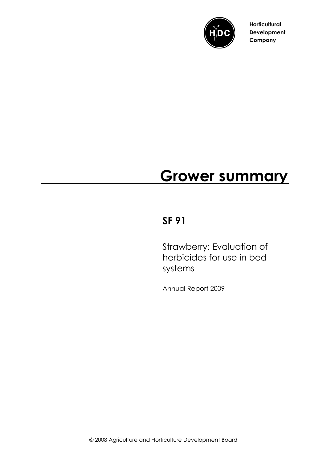

**Horticultural Development Company**

# **Grower summary**

# **SF 91**

Strawberry: Evaluation of herbicides for use in bed systems

Annual Report 2009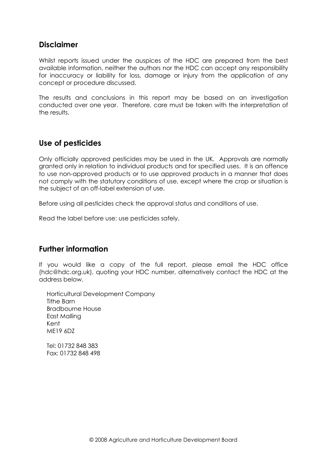#### **Disclaimer**

Whilst reports issued under the auspices of the HDC are prepared from the best available information, neither the authors nor the HDC can accept any responsibility for inaccuracy or liability for loss, damage or injury from the application of any concept or procedure discussed.

The results and conclusions in this report may be based on an investigation conducted over one year. Therefore, care must be taken with the interpretation of the results.

#### **Use of pesticides**

Only officially approved pesticides may be used in the UK. Approvals are normally granted only in relation to individual products and for specified uses. It is an offence to use non-approved products or to use approved products in a manner that does not comply with the statutory conditions of use, except where the crop or situation is the subject of an off-label extension of use.

Before using all pesticides check the approval status and conditions of use.

Read the label before use: use pesticides safely.

#### **Further information**

If you would like a copy of the full report, please email the HDC office (hdc@hdc.org.uk), quoting your HDC number, alternatively contact the HDC at the address below.

Horticultural Development Company Tithe Barn Bradbourne House East Malling Kent ME19 6DZ

Tel: 01732 848 383 Fax: 01732 848 498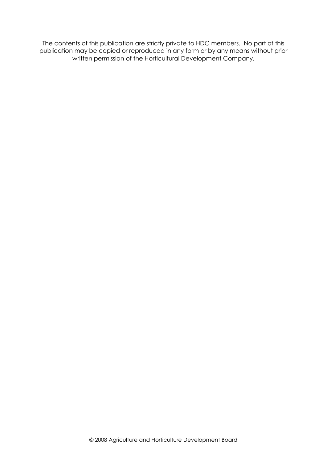The contents of this publication are strictly private to HDC members. No part of this publication may be copied or reproduced in any form or by any means without prior written permission of the Horticultural Development Company.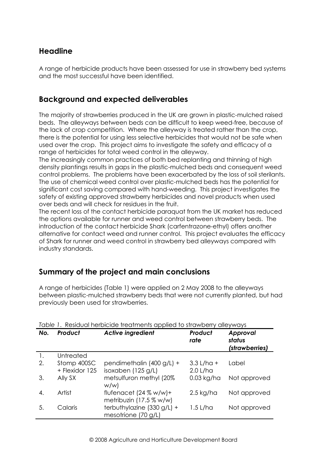# **Headline**

A range of herbicide products have been assessed for use in strawberry bed systems and the most successful have been identified.

## **Background and expected deliverables**

The majority of strawberries produced in the UK are grown in plastic-mulched raised beds. The alleyways between beds can be difficult to keep weed-free, because of the lack of crop competition. Where the alleyway is treated rather than the crop, there is the potential for using less selective herbicides that would not be safe when used over the crop. This project aims to investigate the safety and efficacy of a range of herbicides for total weed control in the alleyway.

The increasingly common practices of both bed replanting and thinning of high density plantings results in gaps in the plastic-mulched beds and consequent weed control problems. The problems have been exacerbated by the loss of soil sterilants. The use of chemical weed control over plastic-mulched beds has the potential for significant cost saving compared with hand-weeding. This project investigates the safety of existing approved strawberry herbicides and novel products when used over beds and will check for residues in the fruit.

The recent loss of the contact herbicide paraquat from the UK market has reduced the options available for runner and weed control between strawberry beds. The introduction of the contact herbicide Shark (carfentrazone-ethyl) offers another alternative for contact weed and runner control. This project evaluates the efficacy of Shark for runner and weed control in strawberry bed alleyways compared with industry standards.

# **Summary of the project and main conclusions**

A range of herbicides (Table 1) were applied on 2 May 2008 to the alleyways between plastic-mulched strawberry beds that were not currently planted, but had previously been used for strawberries.

| No.            | Product                       | <b>Active ingredient</b>                              | Product<br>rate            | Approval<br>status<br>(strawberries) |
|----------------|-------------------------------|-------------------------------------------------------|----------------------------|--------------------------------------|
| $\mathbf{1}$ . | Untreated                     |                                                       |                            |                                      |
| 2.             | Stomp 400SC<br>+ Flexidor 125 | pendimethalin (400 g/L) +<br>isoxaben (125 g/L)       | $3.3$ L/ha +<br>$2.0$ L/ha | Label                                |
| 3.             | Ally SX                       | metsulfuron methyl (20%<br>w/w                        | $0.03$ kg/ha               | Not approved                         |
| $\mathbf{A}$ . | Artist                        | flufenacet $(24 % w/w)+$<br>metribuzin $(17.5 %$ w/w) | $2.5$ kg/ha                | Not approved                         |
| 5.             | Calaris                       | terbuthylazine $(330 g/L) +$<br>mesotrione $(70 g/L)$ | $1.5$ L/ha                 | Not approved                         |

|  |  |  | Table 1. Residual herbicide treatments applied to strawberry alleyways |  |  |
|--|--|--|------------------------------------------------------------------------|--|--|
|  |  |  |                                                                        |  |  |
|  |  |  |                                                                        |  |  |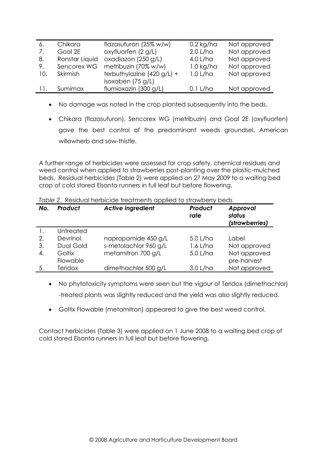| -6. | Chikara        | flazasufuron (25% w/w)       | $0.2$ kg/ha | Not approved |
|-----|----------------|------------------------------|-------------|--------------|
| 7.  | Goal 2E        | oxyfluorfen $(2 g/L)$        | $2.0$ L/ha  | Not approved |
| 8.  | Ronstar Liquid | oxadiazon (250 g/L)          | 4.0 L/ha    | Not approved |
| 9.  | Sencorex WG    | metribuzin (70% w/w)         | $1.0$ kg/ha | Not approved |
| 10. | Skirmish       | terbuthylazine $(420 g/L) +$ | $1.0$ L/ha  | Not approved |
|     |                | isoxaben $(75 g/L)$          |             |              |
|     | Sumimax        | flumioxazin (300 g/L)        | 0.1 L/ha    | Not approved |

- No damage was noted in the crop planted subsequently into the beds.
- Chikara (flazasufuron), Sencorex WG (metribuzin) and Goal 2E (oxyfluorfen) gave the best control of the predominant weeds groundsel, American willowherb and sow-thistle.

A further range of herbicides were assessed for crop safety, chemical residues and weed control when applied to strawberries post-planting over the plastic-mulched beds. Residual herbicides (Table 2) were applied on 27 May 2009 to a waiting bed crop of cold stored Elsanta runners in full leaf but before flowering.

| No. | Product          | <b>Active ingredient</b> | Product<br>rate | Approval<br>status<br>(strawberries) |
|-----|------------------|--------------------------|-----------------|--------------------------------------|
|     | Untreated        |                          |                 |                                      |
| 2.  | Devrinol         | napropamide 450 g/L      | $5.0$ L/ha      | Label                                |
| 3.  | <b>Dual Gold</b> | s-metolachlor 960 g/L    | $1.6$ L/ha      | Not approved                         |
| 4.  | Goltix           | metamitron 700 g/L       | 5.0 L/ha        | Not approved                         |
|     | Flowable         |                          |                 | pre-harvest                          |
| 5.  | <b>Teridox</b>   | dimethachlor 500 g/L     | $3.0$ L/ha      | Not approved                         |

*Table 2*. Residual herbicide treatments applied to strawberry beds

• No phytotoxicity symptoms were seen but the vigour of Teridox (dimethachlor) -treated plants was slightly reduced and the yield was also slightly reduced.

• Goltix Flowable (metamitron) appeared to give the best weed control.

Contact herbicides (Table 3) were applied on 1 June 2008 to a waiting bed crop of cold stored Elsanta runners in full leaf but before flowering.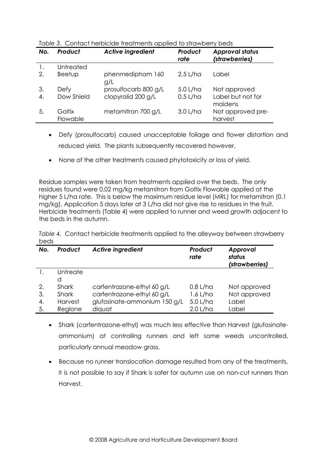| No.          | Product            | <b>Active ingredient</b> | Product<br>rate | <b>Approval status</b><br>(strawberries) |
|--------------|--------------------|--------------------------|-----------------|------------------------------------------|
|              | Untreated          |                          |                 |                                          |
| 2.           | Beetup             | phenmedipham 160<br>g/L  | $2.5$ L/ha      | Label                                    |
| 3.           | Defy               | prosulfocarb 800 g/L     | 5.0 L/ha        | Not approved                             |
| $\mathbf{4}$ | Dow Shield         | clopyralid 200 g/L       | $0.5$ L/ha      | Label but not for<br>maidens             |
| 5.           | Goltix<br>Flowable | metamitron 700 g/L       | $3.0$ L/ha      | Not approved pre-<br>harvest             |

*Table 3*. Contact herbicide treatments applied to strawberry beds

- Defy (prosulfocarb) caused unacceptable foliage and flower distortion and reduced yield. The plants subsequently recovered however.
- None of the other treatments caused phytotoxicity or loss of yield.

Residue samples were taken from treatments applied over the beds. The only residues found were 0.02 mg/kg metamitron from Goltix Flowable applied at the higher 5 L/ha rate. This is below the maximum residue level (MRL) for metamitron (0.1 mg/kg). Application 5 days later at 3 L/ha did not give rise to residues in the fruit. Herbicide treatments (Table 4) were applied to runner and weed growth adjacent to the beds in the autumn.

*Table 4.* Contact herbicide treatments applied to the alleyway between strawberry beds

| No. | Product        | <b>Active ingredient</b>     | Product<br>rate | Approval<br>status<br>(strawberries) |
|-----|----------------|------------------------------|-----------------|--------------------------------------|
|     | Untreate       |                              |                 |                                      |
|     | d              |                              |                 |                                      |
| 2.  | Shark          | carfentrazone-ethyl 60 g/L   | $0.8$ L/ha      | Not approved                         |
| 3.  | Shark          | carfentrazone-ethyl 60 g/L   | 1.6 L/ha        | Not approved                         |
| 4.  | <b>Harvest</b> | glufosinate-ammonium 150 g/L | 5.0 L/ha        | Label                                |
| 5.  | Reglone        | diquat                       | $2.0$ L/ha      | Label                                |

- Shark (carfentrazone-ethyl) was much less effective than Harvest (glufosinateammonium) at controlling runners and left some weeds uncontrolled, particularly annual meadow grass.
- Because no runner translocation damage resulted from any of the treatments, it is not possible to say if Shark is safer for autumn use on non-cut runners than Harvest.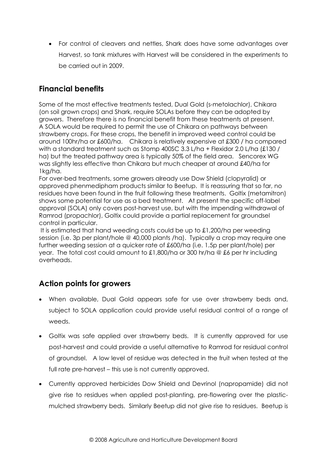• For control of cleavers and nettles, Shark does have some advantages over Harvest, so tank mixtures with Harvest will be considered in the experiments to be carried out in 2009.

## **Financial benefits**

Some of the most effective treatments tested, Dual Gold (s-metolachlor), Chikara (on soil grown crops) and Shark, require SOLAs before they can be adopted by growers. Therefore there is no financial benefit from these treatments at present. A SOLA would be required to permit the use of Chikara on pathways between strawberry crops. For these crops, the benefit in improved weed control could be around 100hr/ha or £600/ha. Chikara is relatively expensive at £300 / ha compared with a standard treatment such as Stomp 400SC 3.3 L/ha + Flexidor 2.0 L/ha (£130 / ha) but the treated pathway area is typically 50% of the field area. Sencorex WG was slightly less effective than Chikara but much cheaper at around £40/ha for 1kg/ha.

For over-bed treatments, some growers already use Dow Shield (clopyralid) or approved phenmedipham products similar to Beetup. It is reassuring that so far, no residues have been found in the fruit following these treatments. Goltix (metamitron) shows some potential for use as a bed treatment. At present the specific off-label approval (SOLA) only covers post-harvest use, but with the impending withdrawal of Ramrod (propachlor), Goltix could provide a partial replacement for groundsel control in particular.

It is estimated that hand weeding costs could be up to £1,200/ha per weeding session (i.e. 3p per plant/hole @ 40,000 plants /ha). Typically a crop may require one further weeding session at a quicker rate of £600/ha (i.e. 1.5p per plant/hole) per year. The total cost could amount to £1,800/ha or 300 hr/ha @ £6 per hr including overheads.

#### **Action points for growers**

- When available, Dual Gold appears safe for use over strawberry beds and, subject to SOLA application could provide useful residual control of a range of weeds.
- Goltix was safe applied over strawberry beds. It is currently approved for use post-harvest and could provide a useful alternative to Ramrod for residual control of groundsel. A low level of residue was detected in the fruit when tested at the full rate pre-harvest – this use is not currently approved.
- Currently approved herbicides Dow Shield and Devrinol (napropamide) did not give rise to residues when applied post-planting, pre-flowering over the plasticmulched strawberry beds. Similarly Beetup did not give rise to residues. Beetup is